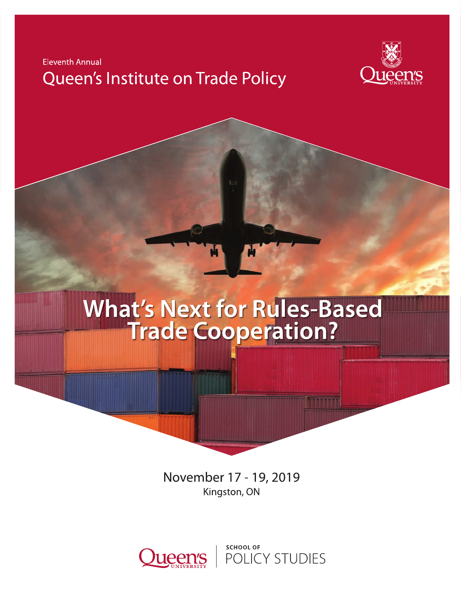



# What's Next for Rules-Based<br>Trade Cooperation?

November 17 - 19, 2019 Kingston, ON



SCHOOL OF<br>POLICY STUDIES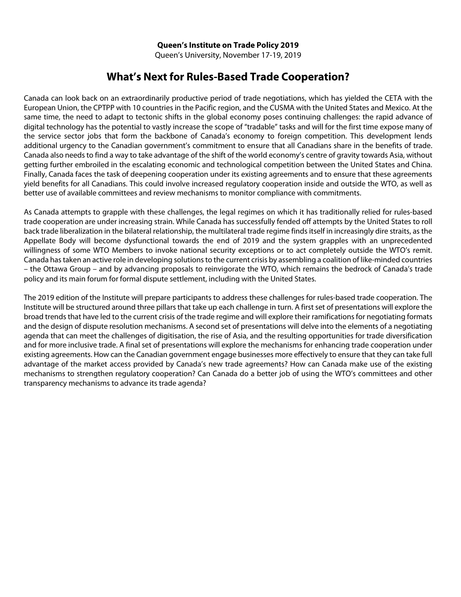Queen's University, November 17-19, 2019

# **What's Next for Rules-Based Trade Cooperation?**

Canada can look back on an extraordinarily productive period of trade negotiations, which has yielded the CETA with the European Union, the CPTPP with 10 countries in the Pacific region, and the CUSMA with the United States and Mexico. At the same time, the need to adapt to tectonic shifts in the global economy poses continuing challenges: the rapid advance of digital technology has the potential to vastly increase the scope of "tradable" tasks and will for the first time expose many of the service sector jobs that form the backbone of Canada's economy to foreign competition. This development lends additional urgency to the Canadian government's commitment to ensure that all Canadians share in the benefits of trade. Canada also needs to find a way to take advantage of the shift of the world economy's centre of gravity towards Asia, without getting further embroiled in the escalating economic and technological competition between the United States and China. Finally, Canada faces the task of deepening cooperation under its existing agreements and to ensure that these agreements yield benefits for all Canadians. This could involve increased regulatory cooperation inside and outside the WTO, as well as better use of available committees and review mechanisms to monitor compliance with commitments.

As Canada attempts to grapple with these challenges, the legal regimes on which it has traditionally relied for rules-based trade cooperation are under increasing strain. While Canada has successfully fended off attempts by the United States to roll back trade liberalization in the bilateral relationship, the multilateral trade regime finds itself in increasingly dire straits, as the Appellate Body will become dysfunctional towards the end of 2019 and the system grapples with an unprecedented willingness of some WTO Members to invoke national security exceptions or to act completely outside the WTO's remit. Canada has taken an active role in developing solutions to the current crisis by assembling a coalition of like-minded countries – the Ottawa Group – and by advancing proposals to reinvigorate the WTO, which remains the bedrock of Canada's trade policy and its main forum for formal dispute settlement, including with the United States.

The 2019 edition of the Institute will prepare participants to address these challenges for rules-based trade cooperation. The Institute will be structured around three pillars that take up each challenge in turn. A first set of presentations will explore the broad trends that have led to the current crisis of the trade regime and will explore their ramifications for negotiating formats and the design of dispute resolution mechanisms. A second set of presentations will delve into the elements of a negotiating agenda that can meet the challenges of digitisation, the rise of Asia, and the resulting opportunities for trade diversification and for more inclusive trade. A final set of presentations will explore the mechanisms for enhancing trade cooperation under existing agreements. How can the Canadian government engage businesses more effectively to ensure that they can take full advantage of the market access provided by Canada's new trade agreements? How can Canada make use of the existing mechanisms to strengthen regulatory cooperation? Can Canada do a better job of using the WTO's committees and other transparency mechanisms to advance its trade agenda?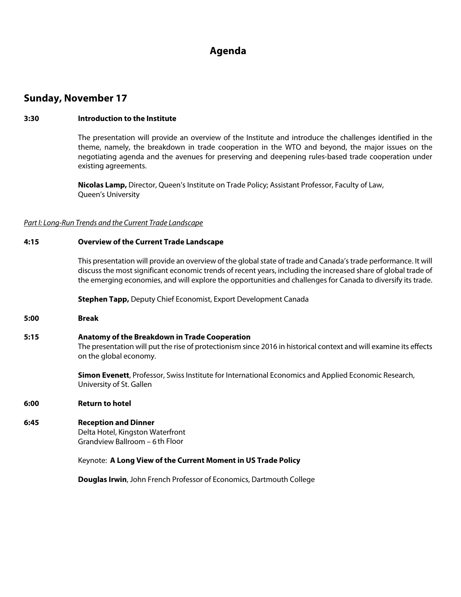# **Agenda**

# **Sunday, November 17**

# **3:30 Introduction to the Institute**

The presentation will provide an overview of the Institute and introduce the challenges identified in the theme, namely, the breakdown in trade cooperation in the WTO and beyond, the major issues on the negotiating agenda and the avenues for preserving and deepening rules-based trade cooperation under existing agreements.

**Nicolas Lamp,** Director, Queen's Institute on Trade Policy; Assistant Professor, Faculty of Law, Queen's University

#### *Part I: Long-Run Trends and the Current Trade Landscape*

### **4:15 Overview of the Current Trade Landscape**

This presentation will provide an overview of the global state of trade and Canada's trade performance. It will discuss the most significant economic trends of recent years, including the increased share of global trade of the emerging economies, and will explore the opportunities and challenges for Canada to diversify its trade.

**Stephen Tapp,** Deputy Chief Economist, Export Development Canada

**5:00 Break**

#### **5:15 Anatomy of the Breakdown in Trade Cooperation**

The presentation will put the rise of protectionism since 2016 in historical context and will examine its effects on the global economy.

**Simon Evenett**, Professor, Swiss Institute for International Economics and Applied Economic Research, University of St. Gallen

#### **6:00 Return to hotel**

# **6:45 Reception and Dinner**

Delta Hotel, Kingston Waterfront Grandview Ballroom – 6th Floor

#### Keynote: **A Long View of the Current Moment in US Trade Policy**

**Douglas Irwin**, John French Professor of Economics, Dartmouth College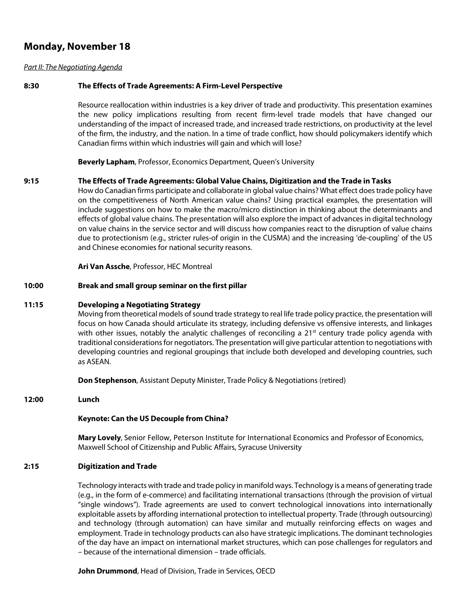# **Monday, November 18**

## *Part II: The Negotiating Agenda*

## **8:30 The Effects of Trade Agreements: A Firm-Level Perspective**

Resource reallocation within industries is a key driver of trade and productivity. This presentation examines the new policy implications resulting from recent firm-level trade models that have changed our understanding of the impact of increased trade, and increased trade restrictions, on productivity at the level of the firm, the industry, and the nation. In a time of trade conflict, how should policymakers identify which Canadian firms within which industries will gain and which will lose?

**Beverly Lapham**, Professor, Economics Department, Queen's University

### **9:15 The Effects of Trade Agreements: Global Value Chains, Digitization and the Trade in Tasks** How do Canadian firms participate and collaborate in global value chains? What effect does trade policy have on the competitiveness of North American value chains? Using practical examples, the presentation will include suggestions on how to make the macro/micro distinction in thinking about the determinants and effects of global value chains. The presentation will also explore the impact of advances in digital technology on value chains in the service sector and will discuss how companies react to the disruption of value chains

**Ari Van Assche**, Professor, HEC Montreal

and Chinese economies for national security reasons.

## **10:00 Break and small group seminar on the first pillar**

#### **11:15 Developing a Negotiating Strategy**

Moving from theoretical models of sound trade strategy to real life trade policy practice, the presentation will focus on how Canada should articulate its strategy, including defensive vs offensive interests, and linkages with other issues, notably the analytic challenges of reconciling a  $21<sup>st</sup>$  century trade policy agenda with traditional considerations for negotiators. The presentation will give particular attention to negotiations with developing countries and regional groupings that include both developed and developing countries, such as ASEAN.

due to protectionism (e.g., stricter rules-of origin in the CUSMA) and the increasing 'de-coupling' of the US

**Don Stephenson**, Assistant Deputy Minister, Trade Policy & Negotiations (retired)

#### **12:00 Lunch**

#### **Keynote: Can the US Decouple from China?**

**Mary Lovely**, Senior Fellow, Peterson Institute for International Economics and Professor of Economics, Maxwell School of Citizenship and Public Affairs, Syracuse University

#### **2:15 Digitization and Trade**

Technology interacts with trade and trade policy in manifold ways. Technology is a means of generating trade (e.g., in the form of e-commerce) and facilitating international transactions (through the provision of virtual "single windows"). Trade agreements are used to convert technological innovations into internationally exploitable assets by affording international protection to intellectual property. Trade (through outsourcing) and technology (through automation) can have similar and mutually reinforcing effects on wages and employment. Trade in technology products can also have strategic implications. The dominant technologies of the day have an impact on international market structures, which can pose challenges for regulators and – because of the international dimension – trade officials.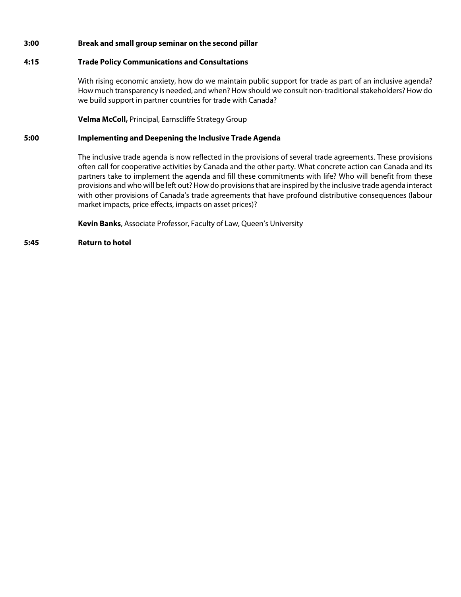# **3:00 Break and small group seminar on the second pillar**

# **4:15 Trade Policy Communications and Consultations**

With rising economic anxiety, how do we maintain public support for trade as part of an inclusive agenda? How much transparency is needed, and when? How should we consult non-traditional stakeholders? How do we build support in partner countries for trade with Canada?

**Velma McColl,** Principal, Earnscliffe Strategy Group

### **5:00 Implementing and Deepening the Inclusive Trade Agenda**

The inclusive trade agenda is now reflected in the provisions of several trade agreements. These provisions often call for cooperative activities by Canada and the other party. What concrete action can Canada and its partners take to implement the agenda and fill these commitments with life? Who will benefit from these provisions and who will be left out? How do provisions that are inspired by the inclusive trade agenda interact with other provisions of Canada's trade agreements that have profound distributive consequences (labour market impacts, price effects, impacts on asset prices)?

**Kevin Banks**, Associate Professor, Faculty of Law, Queen's University

### **5:45 Return to hotel**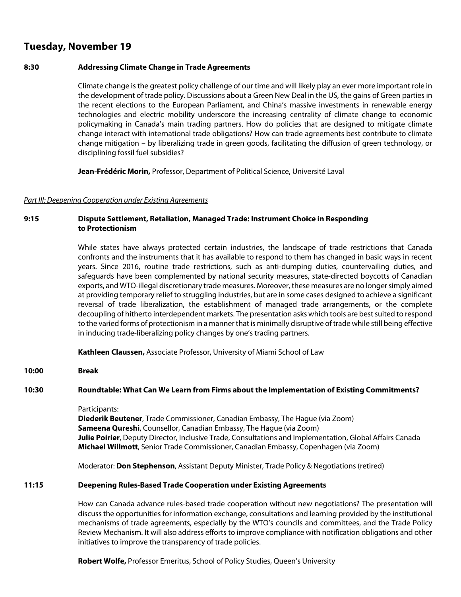# **Tuesday, November 19**

## **8:30 Addressing Climate Change in Trade Agreements**

Climate change is the greatest policy challenge of our time and will likely play an ever more important role in the development of trade policy. Discussions about a Green New Deal in the US, the gains of Green parties in the recent elections to the European Parliament, and China's massive investments in renewable energy technologies and electric mobility underscore the increasing centrality of climate change to economic policymaking in Canada's main trading partners. How do policies that are designed to mitigate climate change interact with international trade obligations? How can trade agreements best contribute to climate change mitigation – by liberalizing trade in green goods, facilitating the diffusion of green technology, or disciplining fossil fuel subsidies?

**Jean-Frédéric Morin,** Professor, Department of Political Science, Université Laval

#### *Part III: Deepening Cooperation under Existing Agreements*

# **9:15 Dispute Settlement, Retaliation, Managed Trade: Instrument Choice in Responding to Protectionism**

While states have always protected certain industries, the landscape of trade restrictions that Canada confronts and the instruments that it has available to respond to them has changed in basic ways in recent years. Since 2016, routine trade restrictions, such as anti-dumping duties, countervailing duties, and safeguards have been complemented by national security measures, state-directed boycotts of Canadian exports, and WTO-illegal discretionary trade measures. Moreover, these measures are no longer simply aimed at providing temporary relief to struggling industries, but are in some cases designed to achieve a significant reversal of trade liberalization, the establishment of managed trade arrangements, or the complete decoupling of hitherto interdependent markets. The presentation asks which tools are best suited to respond to the varied forms of protectionism in a manner that is minimally disruptive of trade while still being effective in inducing trade-liberalizing policy changes by one's trading partners.

**Kathleen Claussen,** Associate Professor, University of Miami School of Law

**10:00 Break**

#### **10:30 Roundtable: What Can We Learn from Firms about the Implementation of Existing Commitments?**

Participants:

**Diederik Beutener**, Trade Commissioner, Canadian Embassy, The Hague (via Zoom) **Sameena Qureshi**, Counsellor, Canadian Embassy, The Hague (via Zoom) **Julie Poirier**, Deputy Director, Inclusive Trade, Consultations and Implementation, Global Affairs Canada **Michael Willmott**, Senior Trade Commissioner, Canadian Embassy, Copenhagen (via Zoom)

Moderator: **Don Stephenson**, Assistant Deputy Minister, Trade Policy & Negotiations (retired)

#### **11:15 Deepening Rules-Based Trade Cooperation under Existing Agreements**

How can Canada advance rules-based trade cooperation without new negotiations? The presentation will discuss the opportunities for information exchange, consultations and learning provided by the institutional mechanisms of trade agreements, especially by the WTO's councils and committees, and the Trade Policy Review Mechanism. It will also address efforts to improve compliance with notification obligations and other initiatives to improve the transparency of trade policies.

**Robert Wolfe,** Professor Emeritus, School of Policy Studies, Queen's University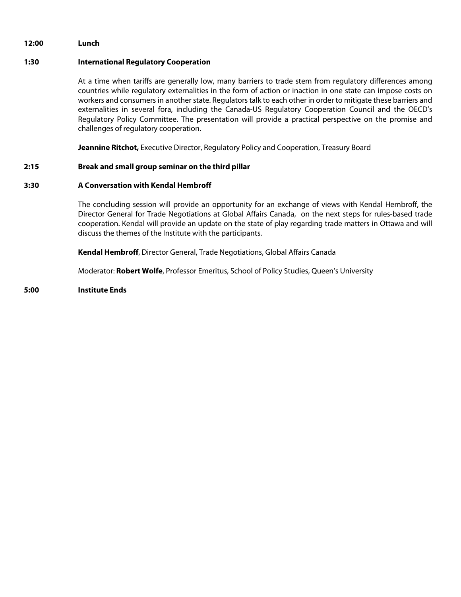#### **12:00 Lunch**

## **1:30 International Regulatory Cooperation**

At a time when tariffs are generally low, many barriers to trade stem from regulatory differences among countries while regulatory externalities in the form of action or inaction in one state can impose costs on workers and consumers in another state. Regulators talk to each other in order to mitigate these barriers and externalities in several fora, including the Canada-US Regulatory Cooperation Council and the OECD's Regulatory Policy Committee. The presentation will provide a practical perspective on the promise and challenges of regulatory cooperation.

**Jeannine Ritchot,** Executive Director, Regulatory Policy and Cooperation, Treasury Board

### **2:15 Break and small group seminar on the third pillar**

### **3:30 A Conversation with Kendal Hembroff**

The concluding session will provide an opportunity for an exchange of views with Kendal Hembroff, the Director General for Trade Negotiations at Global Affairs Canada, on the next steps for rules-based trade cooperation. Kendal will provide an update on the state of play regarding trade matters in Ottawa and will discuss the themes of the Institute with the participants.

**Kendal Hembroff**, Director General, Trade Negotiations, Global Affairs Canada

Moderator: **Robert Wolfe**, Professor Emeritus, School of Policy Studies, Queen's University

# **5:00 Institute Ends**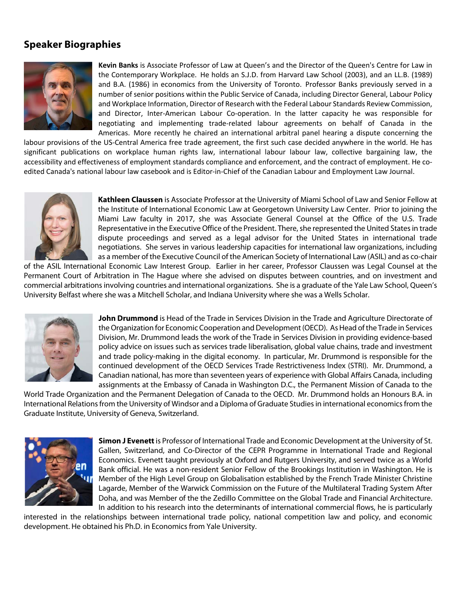# **Speaker Biographies**



**Kevin Banks** is Associate Professor of Law at Queen's and the Director of the Queen's Centre for Law in the Contemporary Workplace. He holds an S.J.D. from Harvard Law School (2003), and an LL.B. (1989) and B.A. (1986) in economics from the University of Toronto. Professor Banks previously served in a number of senior positions within the Public Service of Canada, including Director General, Labour Policy and Workplace Information, Director of Research with the Federal Labour Standards Review Commission, and Director, Inter-American Labour Co-operation. In the latter capacity he was responsible for negotiating and implementing trade-related labour agreements on behalf of Canada in the Americas. More recently he chaired an international arbitral panel hearing a dispute concerning the

labour provisions of the US-Central America free trade agreement, the first such case decided anywhere in the world. He has significant publications on workplace human rights law, international labour labour law, collective bargaining law, the accessibility and effectiveness of employment standards compliance and enforcement, and the contract of employment. He coedited Canada's national labour law casebook and is Editor-in-Chief of the Canadian Labour and Employment Law Journal.



**Kathleen Claussen** is Associate Professor at the University of Miami School of Law and Senior Fellow at the Institute of International Economic Law at Georgetown University Law Center. Prior to joining the Miami Law faculty in 2017, she was Associate General Counsel at the Office of the U.S. Trade Representative in the Executive Office of the President. There, she represented the United States in trade dispute proceedings and served as a legal advisor for the United States in international trade negotiations. She serves in various leadership capacities for international law organizations, including as a member of the Executive Council of the American Society of International Law (ASIL) and as co-chair

of the ASIL International Economic Law Interest Group. Earlier in her career, Professor Claussen was Legal Counsel at the Permanent Court of Arbitration in The Hague where she advised on disputes between countries, and on investment and commercial arbitrations involving countries and international organizations. She is a graduate of the Yale Law School, Queen's University Belfast where she was a Mitchell Scholar, and Indiana University where she was a Wells Scholar.



**John Drummond** is Head of the Trade in Services Division in the Trade and Agriculture Directorate of the Organization for Economic Cooperation and Development (OECD). As Head of the Trade in Services Division, Mr. Drummond leads the work of the Trade in Services Division in providing evidence-based policy advice on issues such as services trade liberalisation, global value chains, trade and investment and trade policy-making in the digital economy. In particular, Mr. Drummond is responsible for the continued development of the OECD Services Trade Restrictiveness Index (STRI). Mr. Drummond, a Canadian national, has more than seventeen years of experience with Global Affairs Canada, including assignments at the Embassy of Canada in Washington D.C., the Permanent Mission of Canada to the

World Trade Organization and the Permanent Delegation of Canada to the OECD. Mr. Drummond holds an Honours B.A. in International Relations from the University of Windsor and a Diploma of Graduate Studies in international economics from the Graduate Institute, University of Geneva, Switzerland.



**Simon J Evenett**is Professor of International Trade and Economic Development at the University of St. Gallen, Switzerland, and Co-Director of the CEPR Programme in International Trade and Regional Economics. Evenett taught previously at Oxford and Rutgers University, and served twice as a World Bank official. He was a non-resident Senior Fellow of the Brookings Institution in Washington. He is Member of the High Level Group on Globalisation established by the French Trade Minister Christine Lagarde, Member of the Warwick Commission on the Future of the Multilateral Trading System After Doha, and was Member of the the Zedillo Committee on the Global Trade and Financial Architecture. In addition to his research into the determinants of international commercial flows, he is particularly

interested in the relationships between international trade policy, national competition law and policy, and economic development. He obtained his Ph.D. in Economics from Yale University.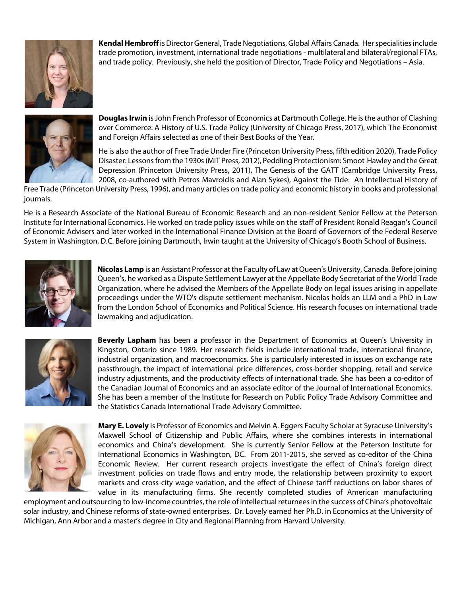

**Kendal Hembroff** is Director General, Trade Negotiations, Global Affairs Canada. Her specialities include trade promotion, investment, international trade negotiations - multilateral and bilateral/regional FTAs, and trade policy. Previously, she held the position of Director, Trade Policy and Negotiations – Asia.



**Douglas Irwin** is John French Professor of Economics at Dartmouth College. He is the author of Clashing over Commerce: A History of U.S. Trade Policy (University of Chicago Press, 2017), which The Economist and Foreign Affairs selected as one of their Best Books of the Year.

He is also the author of Free Trade Under Fire (Princeton University Press, fifth edition 2020), Trade Policy Disaster: Lessons from the 1930s (MIT Press, 2012), Peddling Protectionism: Smoot-Hawley and the Great Depression (Princeton University Press, 2011), The Genesis of the GATT (Cambridge University Press, 2008, co-authored with Petros Mavroidis and Alan Sykes), Against the Tide: An Intellectual History of

Free Trade (Princeton University Press, 1996), and many articles on trade policy and economic history in books and professional journals.

He is a Research Associate of the National Bureau of Economic Research and an non-resident Senior Fellow at the Peterson Institute for International Economics. He worked on trade policy issues while on the staff of President Ronald Reagan's Council of Economic Advisers and later worked in the International Finance Division at the Board of Governors of the Federal Reserve System in Washington, D.C. Before joining Dartmouth, Irwin taught at the University of Chicago's Booth School of Business.



**Nicolas Lamp** is an Assistant Professor at the Faculty of Law at Queen's University, Canada. Before joining Queen's, he worked as a Dispute Settlement Lawyer at the Appellate Body Secretariat of the World Trade Organization, where he advised the Members of the Appellate Body on legal issues arising in appellate proceedings under the WTO's dispute settlement mechanism. Nicolas holds an LLM and a PhD in Law from the London School of Economics and Political Science. His research focuses on international trade lawmaking and adjudication.



**Beverly Lapham** has been a professor in the Department of Economics at Queen's University in Kingston, Ontario since 1989. Her research fields include international trade, international finance, industrial organization, and macroeconomics. She is particularly interested in issues on exchange rate passthrough, the impact of international price differences, cross‐border shopping, retail and service industry adjustments, and the productivity effects of international trade. She has been a co‐editor of the Canadian Journal of Economics and an associate editor of the Journal of International Economics. She has been a member of the Institute for Research on Public Policy Trade Advisory Committee and the Statistics Canada International Trade Advisory Committee.



**Mary E. Lovely** is Professor of Economics and Melvin A. Eggers Faculty Scholar at Syracuse University's Maxwell School of Citizenship and Public Affairs, where she combines interests in international economics and China's development. She is currently Senior Fellow at the Peterson Institute for International Economics in Washington, DC. From 2011-2015, she served as co-editor of the China Economic Review. Her current research projects investigate the effect of China's foreign direct investment policies on trade flows and entry mode, the relationship between proximity to export markets and cross-city wage variation, and the effect of Chinese tariff reductions on labor shares of value in its manufacturing firms. She recently completed studies of American manufacturing

employment and outsourcing to low-income countries, the role of intellectual returnees in the success of China's photovoltaic solar industry, and Chinese reforms of state-owned enterprises. Dr. Lovely earned her Ph.D. in Economics at the University of Michigan, Ann Arbor and a master's degree in City and Regional Planning from Harvard University.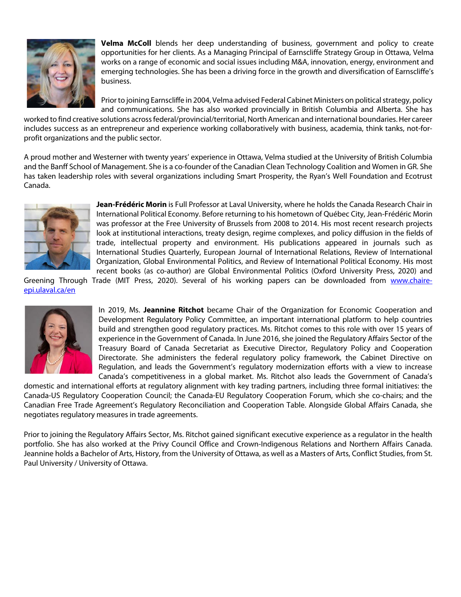

**Velma McColl** blends her deep understanding of business, government and policy to create opportunities for her clients. As a Managing Principal of Earnscliffe Strategy Group in Ottawa, Velma works on a range of economic and social issues including M&A, innovation, energy, environment and emerging technologies. She has been a driving force in the growth and diversification of Earnscliffe's business.

Prior to joining Earnscliffe in 2004, Velma advised Federal Cabinet Ministers on political strategy, policy and communications. She has also worked provincially in British Columbia and Alberta. She has

worked to find creative solutions across federal/provincial/territorial, North American and international boundaries. Her career includes success as an entrepreneur and experience working collaboratively with business, academia, think tanks, not-forprofit organizations and the public sector.

A proud mother and Westerner with twenty years' experience in Ottawa, Velma studied at the University of British Columbia and the Banff School of Management. She is a co-founder of the Canadian Clean Technology Coalition and Women in GR. She has taken leadership roles with several organizations including Smart Prosperity, the Ryan's Well Foundation and Ecotrust Canada.



**Jean-Frédéric Morin** is Full Professor at Laval University, where he holds the Canada Research Chair in International Political Economy. Before returning to his hometown of Québec City, Jean-Frédéric Morin was professor at the Free University of Brussels from 2008 to 2014. His most recent research projects look at institutional interactions, treaty design, regime complexes, and policy diffusion in the fields of trade, intellectual property and environment. His publications appeared in journals such as International Studies Quarterly, European Journal of International Relations, Review of International Organization, Global Environmental Politics, and Review of International Political Economy. His most recent books (as co-author) are Global Environmental Politics (Oxford University Press, 2020) and

Greening Through Trade (MIT Press, 2020). Several of his working papers can be downloaded from www.chaireepi.ulaval.ca/en



In 2019, Ms. **Jeannine Ritchot** became Chair of the Organization for Economic Cooperation and Development Regulatory Policy Committee, an important international platform to help countries build and strengthen good regulatory practices. Ms. Ritchot comes to this role with over 15 years of experience in the Government of Canada. In June 2016, she joined the Regulatory Affairs Sector of the Treasury Board of Canada Secretariat as Executive Director, Regulatory Policy and Cooperation Directorate. She administers the federal regulatory policy framework, the Cabinet Directive on Regulation, and leads the Government's regulatory modernization efforts with a view to increase Canada's competitiveness in a global market. Ms. Ritchot also leads the Government of Canada's

domestic and international efforts at regulatory alignment with key trading partners, including three formal initiatives: the Canada-US Regulatory Cooperation Council; the Canada-EU Regulatory Cooperation Forum, which she co-chairs; and the Canadian Free Trade Agreement's Regulatory Reconciliation and Cooperation Table. Alongside Global Affairs Canada, she negotiates regulatory measures in trade agreements.

Prior to joining the Regulatory Affairs Sector, Ms. Ritchot gained significant executive experience as a regulator in the health portfolio. She has also worked at the Privy Council Office and Crown-Indigenous Relations and Northern Affairs Canada. Jeannine holds a Bachelor of Arts, History, from the University of Ottawa, as well as a Masters of Arts, Conflict Studies, from St. Paul University / University of Ottawa.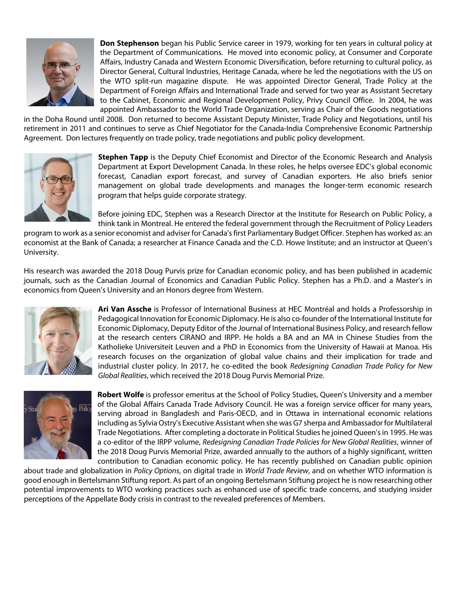

**Don Stephenson** began his Public Service career in 1979, working for ten years in cultural policy at the Department of Communications. He moved into economic policy, at Consumer and Corporate Affairs, Industry Canada and Western Economic Diversification, before returning to cultural policy, as Director General, Cultural Industries, Heritage Canada, where he led the negotiations with the US on the WTO split-run magazine dispute. He was appointed Director General, Trade Policy at the Department of Foreign Affairs and International Trade and served for two year as Assistant Secretary to the Cabinet, Economic and Regional Development Policy, Privy Council Office. In 2004, he was appointed Ambassador to the World Trade Organization, serving as Chair of the Goods negotiations

in the Doha Round until 2008. Don returned to become Assistant Deputy Minister, Trade Policy and Negotiations, until his retirement in 2011 and continues to serve as Chief Negotiator for the Canada-India Comprehensive Economic Partnership Agreement. Don lectures frequently on trade policy, trade negotiations and public policy development.



**Stephen Tapp** is the Deputy Chief Economist and Director of the Economic Research and Analysis Department at Export Development Canada. In these roles, he helps oversee EDC's global economic forecast, Canadian export forecast, and survey of Canadian exporters. He also briefs senior management on global trade developments and manages the longer-term economic research program that helps guide corporate strategy.

Before joining EDC, Stephen was a Research Director at the Institute for Research on Public Policy, a think tank in Montreal. He entered the federal government through the Recruitment of Policy Leaders

program to work as a senior economist and adviser for Canada's first Parliamentary Budget Officer. Stephen has worked as: an economist at the Bank of Canada; a researcher at Finance Canada and the C.D. Howe Institute; and an instructor at Queen's University.

His research was awarded the 2018 Doug Purvis prize for Canadian economic policy, and has been published in academic journals, such as the Canadian Journal of Economics and Canadian Public Policy. Stephen has a Ph.D. and a Master's in economics from Queen's University and an Honors degree from Western.



**Ari Van Assche** is Professor of International Business at HEC Montréal and holds a Professorship in Pedagogical Innovation for Economic Diplomacy. He is also co-founder of the International Institute for Economic Diplomacy, Deputy Editor of the Journal of International Business Policy, and research fellow at the research centers CIRANO and IRPP. He holds a BA and an MA in Chinese Studies from the Katholieke Universiteit Leuven and a PhD in Economics from the University of Hawaii at Manoa. His research focuses on the organization of global value chains and their implication for trade and industrial cluster policy. In 2017, he co-edited the book *Redesigning Canadian Trade Policy for New Global Realities*, which received the 2018 Doug Purvis Memorial Prize.



**Robert Wolfe** is professor emeritus at the School of Policy Studies, Queen's University and a member of the Global Affairs Canada Trade Advisory Council. He was a foreign service officer for many years, serving abroad in Bangladesh and Paris-OECD, and in Ottawa in international economic relations including as Sylvia Ostry's Executive Assistant when she was G7 sherpa and Ambassador for Multilateral Trade Negotiations. After completing a doctorate in Political Studies he joined Queen's in 1995. He was a co-editor of the IRPP volume, *Redesigning Canadian Trade Policies for New Global Realities*, winner of the 2018 Doug Purvis Memorial Prize, awarded annually to the authors of a highly significant, written contribution to Canadian economic policy. He has recently published on Canadian public opinion

about trade and globalization in *Policy Options*, on digital trade in *World Trade Review*, and on whether WTO information is good enough in Bertelsmann Stiftung report. As part of an ongoing Bertelsmann Stiftung project he is now researching other potential improvements to WTO working practices such as enhanced use of specific trade concerns, and studying insider perceptions of the Appellate Body crisis in contrast to the revealed preferences of Members.